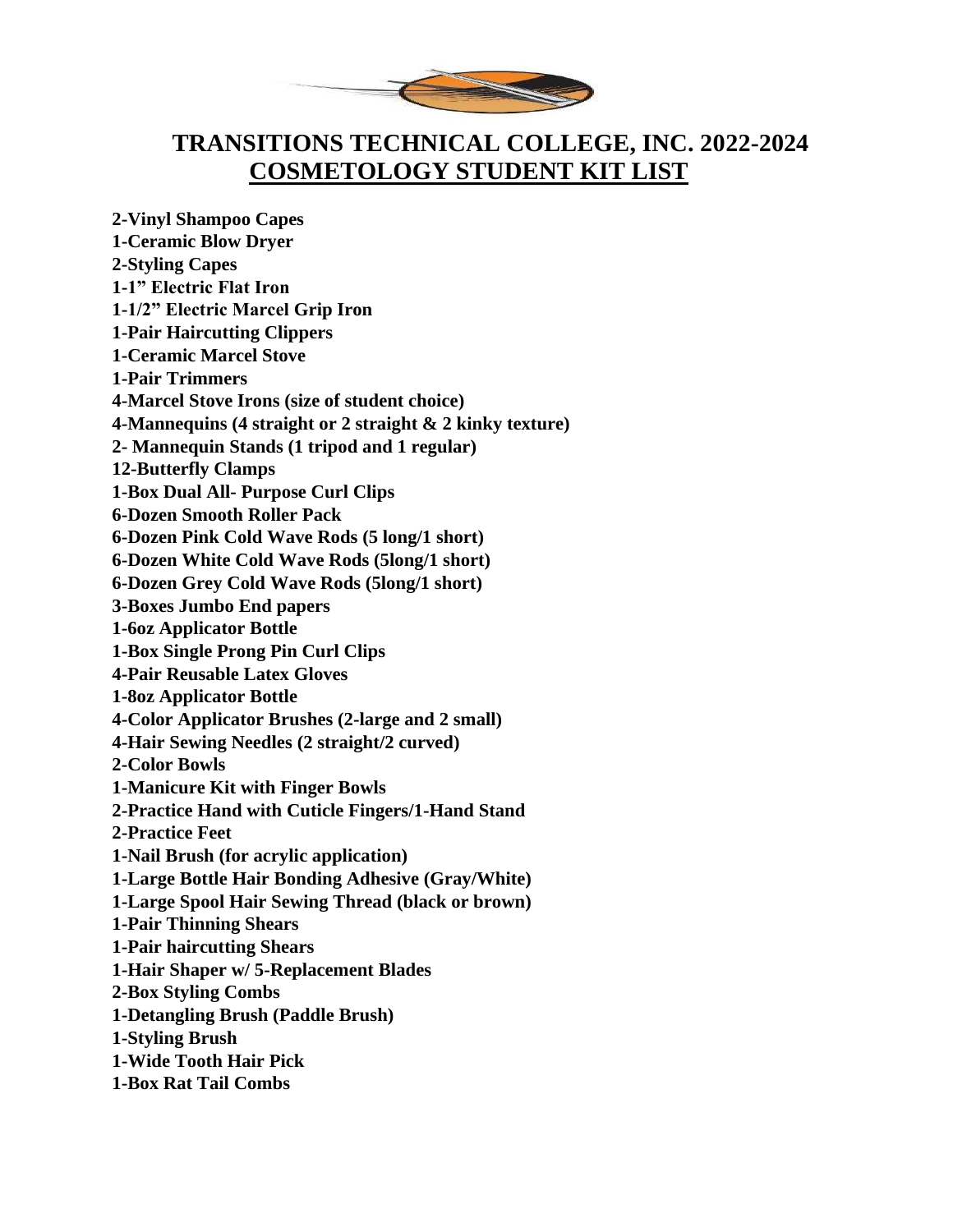

## **TRANSITIONS TECHNICAL COLLEGE, INC. 2022-2024 COSMETOLOGY STUDENT KIT LIST**

**2-Vinyl Shampoo Capes 1-Ceramic Blow Dryer 2-Styling Capes 1-1" Electric Flat Iron 1-1/2" Electric Marcel Grip Iron 1-Pair Haircutting Clippers 1-Ceramic Marcel Stove 1-Pair Trimmers 4-Marcel Stove Irons (size of student choice) 4-Mannequins (4 straight or 2 straight & 2 kinky texture) 2- Mannequin Stands (1 tripod and 1 regular) 12-Butterfly Clamps 1-Box Dual All- Purpose Curl Clips 6-Dozen Smooth Roller Pack 6-Dozen Pink Cold Wave Rods (5 long/1 short) 6-Dozen White Cold Wave Rods (5long/1 short) 6-Dozen Grey Cold Wave Rods (5long/1 short) 3-Boxes Jumbo End papers 1-6oz Applicator Bottle 1-Box Single Prong Pin Curl Clips 4-Pair Reusable Latex Gloves 1-8oz Applicator Bottle 4-Color Applicator Brushes (2-large and 2 small) 4-Hair Sewing Needles (2 straight/2 curved) 2-Color Bowls 1-Manicure Kit with Finger Bowls 2-Practice Hand with Cuticle Fingers/1-Hand Stand 2-Practice Feet 1-Nail Brush (for acrylic application) 1-Large Bottle Hair Bonding Adhesive (Gray/White) 1-Large Spool Hair Sewing Thread (black or brown) 1-Pair Thinning Shears 1-Pair haircutting Shears 1-Hair Shaper w/ 5-Replacement Blades 2-Box Styling Combs 1-Detangling Brush (Paddle Brush) 1-Styling Brush 1-Wide Tooth Hair Pick 1-Box Rat Tail Combs**